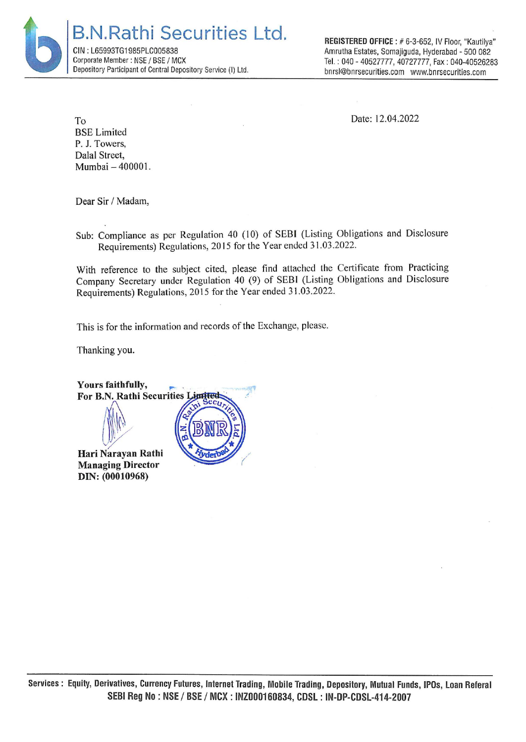B.N.Rathi Securities Ltd. CIN : L65993TG1985PLC005838 Corporate Member : NSE / BSE / MCX Depository Participant of Central Depository Service (I) Ltd.

REGISTERED OFFICE : # 6-3-652, IV Floor, "Kautilya" Amrutha Estates, Somajiguda, Hyderabad - 500 082 Tel. : 040 - 40527777, 40727777, Fax : 040-40526283 bnrsl@bnrsecurities.com www.bnrsecurities.com

Date: 12.04.2022

To BSE Limited P. J. Towers, Dalal Street, Mumbai — 400001.

Dear Sir / Madam,

Sub: Compliance as per Regulation 40 (10) of SEBI (Listing Obligations and Disclosure Requirements) Regulations, 2015 for the Year ended 31.03.2022.

With reference to the subject cited, please find attached the Certificate from Practicing Company Secretary under Regulation 40 (9) of SEBI (Listing Obligations and Disclosure Requirements) Regulations, 2015 for the Year ended 31.03.2022.

This is for the information and records of the Exchange, please.

Thanking you.